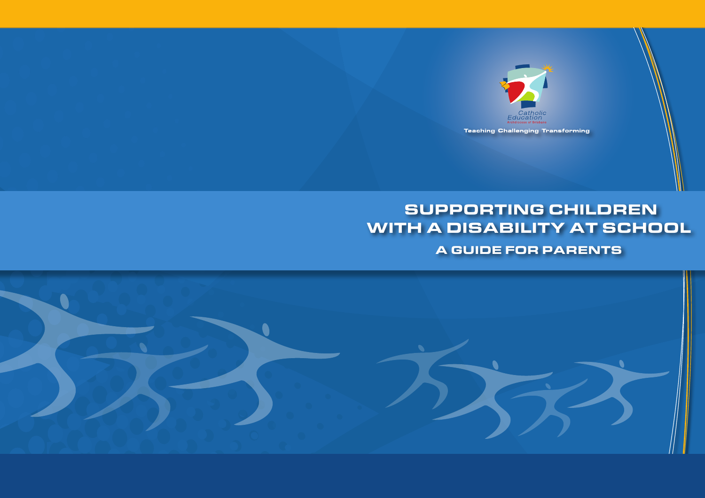

# SUPPORTING CHILDREN WITH A DISABILITY AT SCHOOL

A GUIDE FOR PARENTS

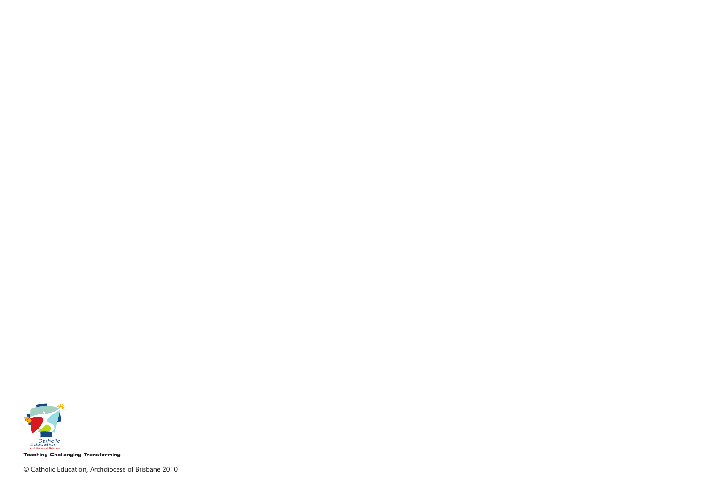

**Teaching Challenging Transforming** 

© Catholic Education, Archdiocese of Brisbane 2010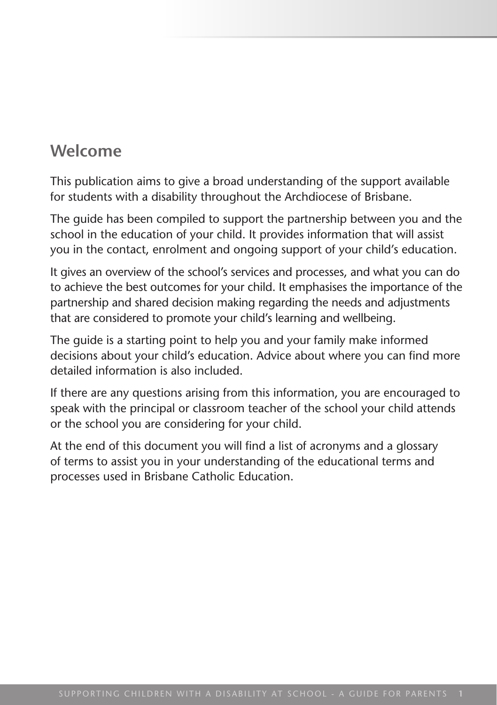## **Welcome**

This publication aims to give a broad understanding of the support available for students with a disability throughout the Archdiocese of Brisbane.

The guide has been compiled to support the partnership between you and the school in the education of your child. It provides information that will assist you in the contact, enrolment and ongoing support of your child's education.

It gives an overview of the school's services and processes, and what you can do to achieve the best outcomes for your child. It emphasises the importance of the partnership and shared decision making regarding the needs and adjustments that are considered to promote your child's learning and wellbeing.

The guide is a starting point to help you and your family make informed decisions about your child's education. Advice about where you can find more detailed information is also included.

If there are any questions arising from this information, you are encouraged to speak with the principal or classroom teacher of the school your child attends or the school you are considering for your child.

At the end of this document you will find a list of acronyms and a glossary of terms to assist you in your understanding of the educational terms and processes used in Brisbane Catholic Education.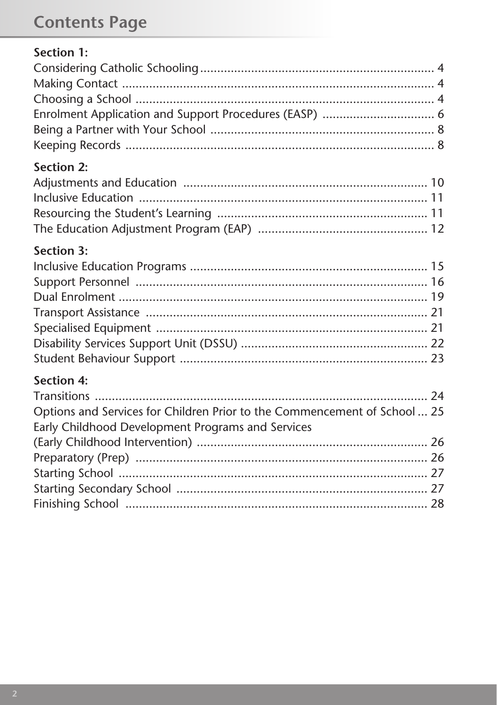# **Contents Page**

| Section 1:                                                                |  |
|---------------------------------------------------------------------------|--|
|                                                                           |  |
|                                                                           |  |
|                                                                           |  |
| Enrolment Application and Support Procedures (EASP)  6                    |  |
|                                                                           |  |
|                                                                           |  |
| <b>Section 2:</b>                                                         |  |
|                                                                           |  |
|                                                                           |  |
|                                                                           |  |
|                                                                           |  |
| <b>Section 3:</b>                                                         |  |
|                                                                           |  |
|                                                                           |  |
|                                                                           |  |
|                                                                           |  |
|                                                                           |  |
|                                                                           |  |
|                                                                           |  |
| <b>Section 4:</b>                                                         |  |
|                                                                           |  |
| Options and Services for Children Prior to the Commencement of School  25 |  |
| Early Childhood Development Programs and Services                         |  |
|                                                                           |  |
|                                                                           |  |
|                                                                           |  |
|                                                                           |  |
|                                                                           |  |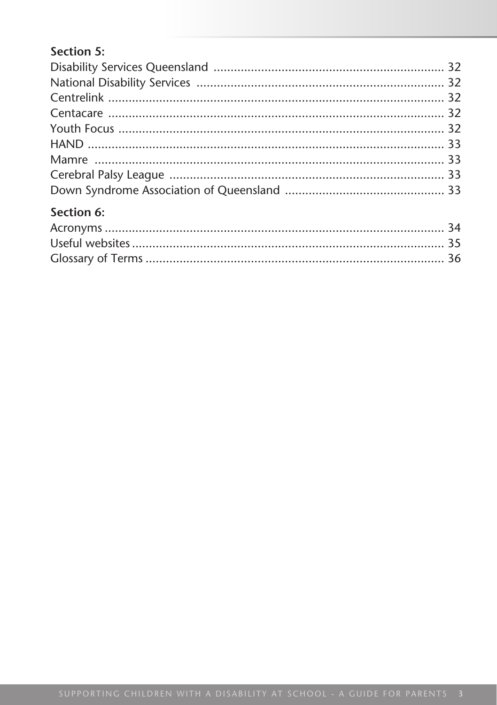## Section 5:

| Section 6: |  |
|------------|--|
|            |  |
|            |  |
|            |  |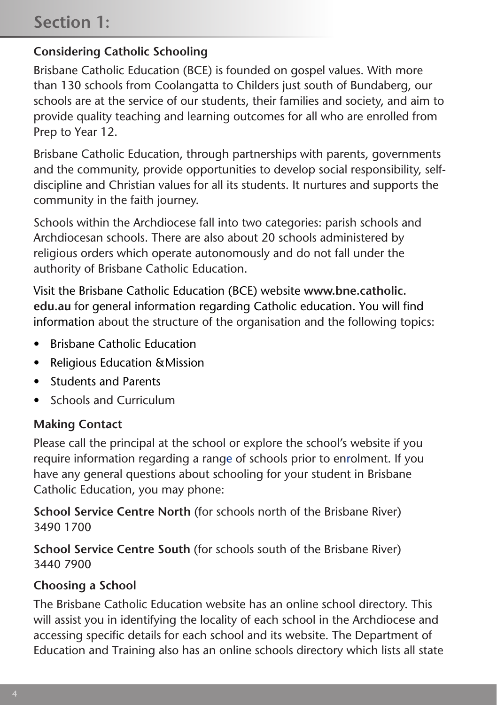## **Section 1:**

## **Considering Catholic Schooling**

Brisbane Catholic Education (BCE) is founded on gospel values. With more than 130 schools from Coolangatta to Childers just south of Bundaberg, our schools are at the service of our students, their families and society, and aim to provide quality teaching and learning outcomes for all who are enrolled from Prep to Year 12.

Brisbane Catholic Education, through partnerships with parents, governments and the community, provide opportunities to develop social responsibility, selfdiscipline and Christian values for all its students. It nurtures and supports the community in the faith journey.

Schools within the Archdiocese fall into two categories: parish schools and Archdiocesan schools. There are also about 20 schools administered by religious orders which operate autonomously and do not fall under the authority of Brisbane Catholic Education.

Visit the Brisbane Catholic Education (BCE) website **www.bne.catholic. edu.au** for general information regarding Catholic education. You will find information about the structure of the organisation and the following topics:

- Brisbane Catholic Education
- Religious Education & Mission
- • Students and Parents
- Schools and Curriculum

#### **Making Contact**

Please call the principal at the school or explore the school's website if you require information regarding a range of schools prior to enrolment. If you have any general questions about schooling for your student in Brisbane Catholic Education, you may phone:

**School Service Centre North** (for schools north of the Brisbane River) 3490 1700

**School Service Centre South** (for schools south of the Brisbane River) 3440 7900

#### **Choosing a School**

The Brisbane Catholic Education website has an online school directory. This will assist you in identifying the locality of each school in the Archdiocese and accessing specific details for each school and its website. The Department of Education and Training also has an online schools directory which lists all state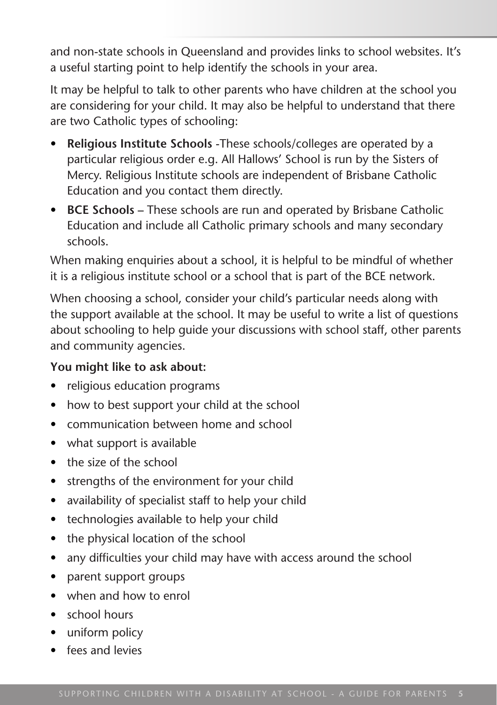and non-state schools in Queensland and provides links to school websites. It's a useful starting point to help identify the schools in your area.

It may be helpful to talk to other parents who have children at the school you are considering for your child. It may also be helpful to understand that there are two Catholic types of schooling:

- **Religious Institute Schools -These schools/colleges are operated by a** particular religious order e.g. All Hallows' School is run by the Sisters of Mercy. Religious Institute schools are independent of Brisbane Catholic Education and you contact them directly.
- • **BCE Schools** These schools are run and operated by Brisbane Catholic Education and include all Catholic primary schools and many secondary schools.

When making enquiries about a school, it is helpful to be mindful of whether it is a religious institute school or a school that is part of the BCE network.

When choosing a school, consider your child's particular needs along with the support available at the school. It may be useful to write a list of questions about schooling to help guide your discussions with school staff, other parents and community agencies.

#### **You might like to ask about:**

- religious education programs
- how to best support your child at the school
- communication between home and school
- what support is available
- the size of the school
- strengths of the environment for your child
- availability of specialist staff to help your child
- technologies available to help your child
- the physical location of the school
- any difficulties your child may have with access around the school
- parent support groups
- when and how to enrol
- • school hours
- uniform policy
- fees and levies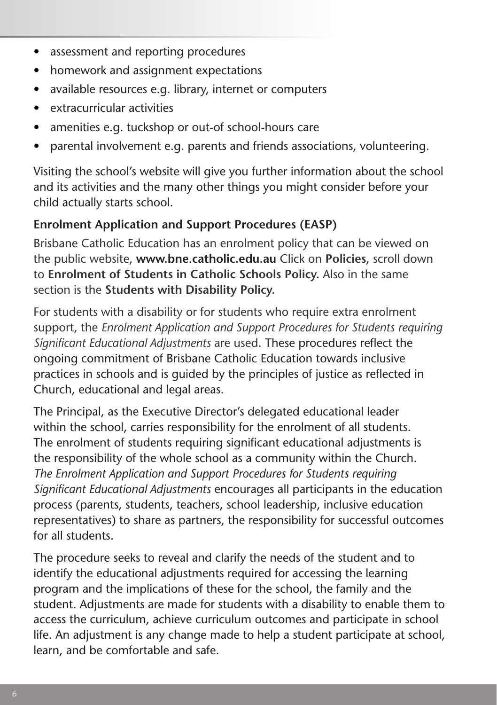- assessment and reporting procedures
- homework and assignment expectations
- • available resources e.g. library, internet or computers
- • extracurricular activities
- amenities e.g. tuckshop or out-of school-hours care
- parental involvement e.g. parents and friends associations, volunteering.

Visiting the school's website will give you further information about the school and its activities and the many other things you might consider before your child actually starts school.

#### **Enrolment Application and Support Procedures (EASP)**

Brisbane Catholic Education has an enrolment policy that can be viewed on the public website, **www.bne.catholic.edu.au** Click on **Policies,** scroll down to **Enrolment of Students in Catholic Schools Policy.** Also in the same section is the **Students with Disability Policy.** 

For students with a disability or for students who require extra enrolment support, the *Enrolment Application and Support Procedures for Students requiring Significant Educational Adjustments* are used. These procedures reflect the ongoing commitment of Brisbane Catholic Education towards inclusive practices in schools and is guided by the principles of justice as reflected in Church, educational and legal areas.

The Principal, as the Executive Director's delegated educational leader within the school, carries responsibility for the enrolment of all students. The enrolment of students requiring significant educational adjustments is the responsibility of the whole school as a community within the Church. *The Enrolment Application and Support Procedures for Students requiring Significant Educational Adjustments* encourages all participants in the education process (parents, students, teachers, school leadership, inclusive education representatives) to share as partners, the responsibility for successful outcomes for all students.

The procedure seeks to reveal and clarify the needs of the student and to identify the educational adjustments required for accessing the learning program and the implications of these for the school, the family and the student. Adjustments are made for students with a disability to enable them to access the curriculum, achieve curriculum outcomes and participate in school life. An adjustment is any change made to help a student participate at school, learn, and be comfortable and safe.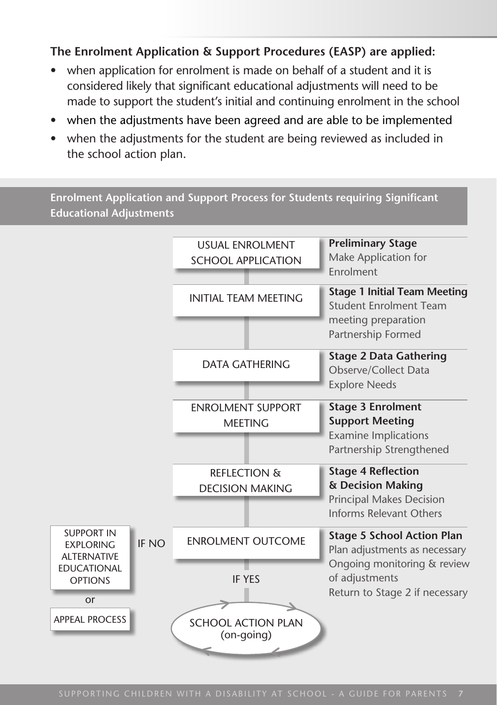#### **The Enrolment Application & Support Procedures (EASP) are applied:**

- when application for enrolment is made on behalf of a student and it is considered likely that significant educational adjustments will need to be made to support the student's initial and continuing enrolment in the school
- when the adjustments have been agreed and are able to be implemented
- when the adjustments for the student are being reviewed as included in the school action plan.

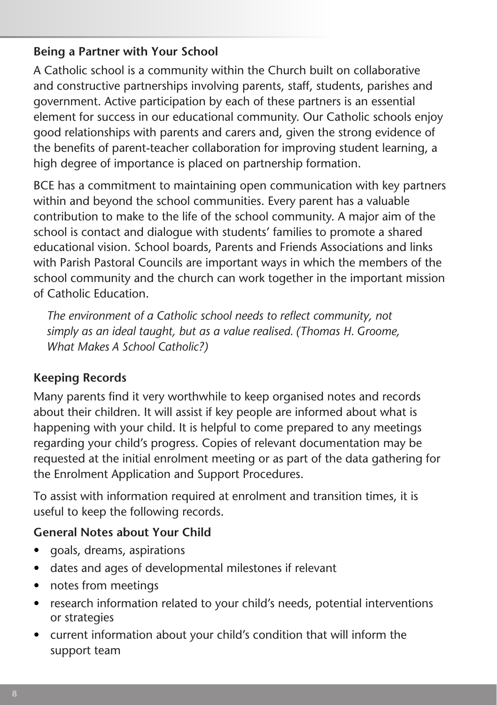#### **Being a Partner with Your School**

A Catholic school is a community within the Church built on collaborative and constructive partnerships involving parents, staff, students, parishes and government. Active participation by each of these partners is an essential element for success in our educational community. Our Catholic schools enjoy good relationships with parents and carers and, given the strong evidence of the benefits of parent-teacher collaboration for improving student learning, a high degree of importance is placed on partnership formation.

BCE has a commitment to maintaining open communication with key partners within and beyond the school communities. Every parent has a valuable contribution to make to the life of the school community. A major aim of the school is contact and dialogue with students' families to promote a shared educational vision. School boards, Parents and Friends Associations and links with Parish Pastoral Councils are important ways in which the members of the school community and the church can work together in the important mission of Catholic Education.

*The environment of a Catholic school needs to reflect community, not simply as an ideal taught, but as a value realised. (Thomas H. Groome, What Makes A School Catholic?)*

## **Keeping Records**

Many parents find it very worthwhile to keep organised notes and records about their children. It will assist if key people are informed about what is happening with your child. It is helpful to come prepared to any meetings regarding your child's progress. Copies of relevant documentation may be requested at the initial enrolment meeting or as part of the data gathering for the Enrolment Application and Support Procedures.

To assist with information required at enrolment and transition times, it is useful to keep the following records.

#### **General Notes about Your Child**

- goals, dreams, aspirations
- • dates and ages of developmental milestones if relevant
- notes from meetings
- research information related to your child's needs, potential interventions or strategies
- current information about your child's condition that will inform the support team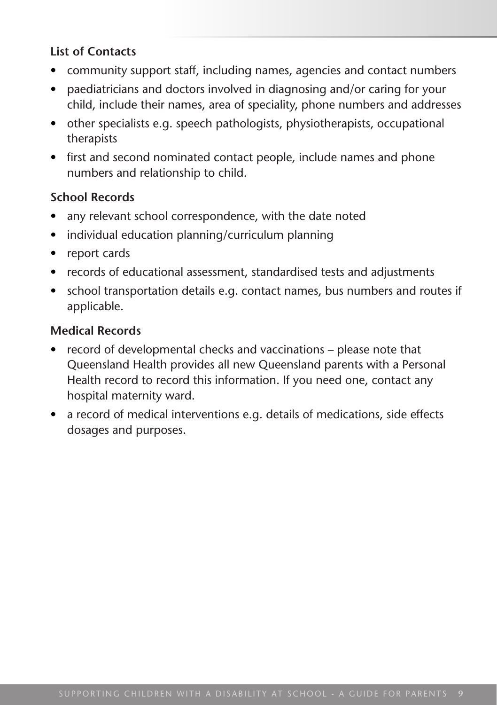#### **List of Contacts**

- community support staff, including names, agencies and contact numbers
- paediatricians and doctors involved in diagnosing and/or caring for your child, include their names, area of speciality, phone numbers and addresses
- other specialists e.g. speech pathologists, physiotherapists, occupational therapists
- first and second nominated contact people, include names and phone numbers and relationship to child.

#### **School Records**

- any relevant school correspondence, with the date noted
- individual education planning/curriculum planning
- report cards
- records of educational assessment, standardised tests and adjustments
- school transportation details e.g. contact names, bus numbers and routes if applicable.

#### **Medical Records**

- record of developmental checks and vaccinations please note that Queensland Health provides all new Queensland parents with a Personal Health record to record this information. If you need one, contact any hospital maternity ward.
- a record of medical interventions e.g. details of medications, side effects dosages and purposes.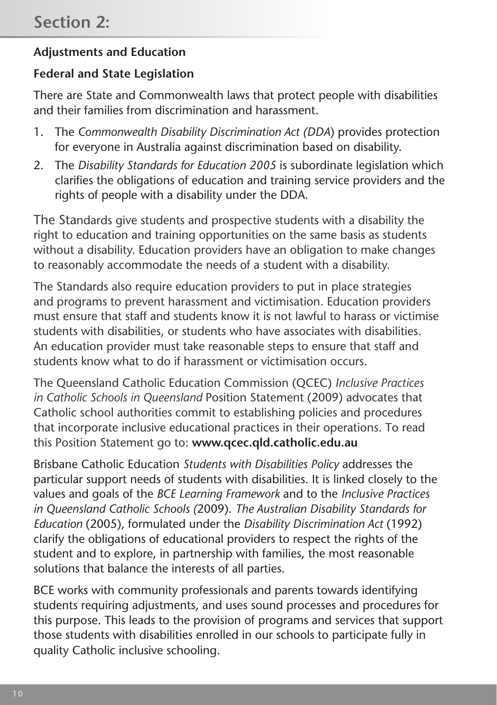#### **Adjustments and Education**

#### **Federal and State Legislation**

There are State and Commonwealth laws that protect people with disabilities and their families from discrimination and harassment.

- 1. The *Commonwealth Disability Discrimination Act (DDA*) provides protection for everyone in Australia against discrimination based on disability.
- 2. The *Disability Standards for Education 2005* is subordinate legislation which clarifies the obligations of education and training service providers and the rights of people with a disability under the DDA.

The Standards give students and prospective students with a disability the right to education and training opportunities on the same basis as students without a disability. Education providers have an obligation to make changes to reasonably accommodate the needs of a student with a disability.

The Standards also require education providers to put in place strategies and programs to prevent harassment and victimisation. Education providers must ensure that staff and students know it is not lawful to harass or victimise students with disabilities, or students who have associates with disabilities. An education provider must take reasonable steps to ensure that staff and students know what to do if harassment or victimisation occurs.

The Queensland Catholic Education Commission (QCEC) *Inclusive Practices in Catholic Schools in Queensland* Position Statement (2009) advocates that Catholic school authorities commit to establishing policies and procedures that incorporate inclusive educational practices in their operations. To read this Position Statement go to: **www.qcec.qld.catholic.edu.au**

Brisbane Catholic Education *Students with Disabilities Policy* addresses the particular support needs of students with disabilities. It is linked closely to the values and goals of the *BCE Learning Framework* and to the *Inclusive Practices in Queensland Catholic Schools (*2009). *The Australian Disability Standards for Education* (2005), formulated under the *Disability Discrimination Act* (1992) clarify the obligations of educational providers to respect the rights of the student and to explore, in partnership with families, the most reasonable solutions that balance the interests of all parties.

BCE works with community professionals and parents towards identifying students requiring adjustments, and uses sound processes and procedures for this purpose. This leads to the provision of programs and services that support those students with disabilities enrolled in our schools to participate fully in quality Catholic inclusive schooling.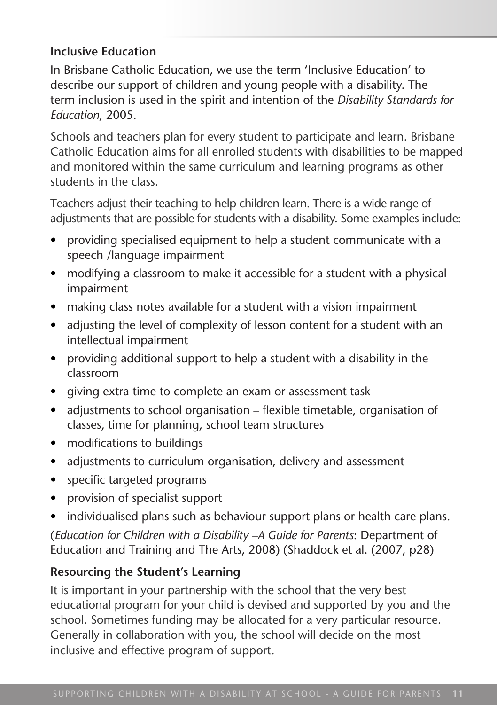#### **Inclusive Education**

In Brisbane Catholic Education, we use the term 'Inclusive Education' to describe our support of children and young people with a disability. The term inclusion is used in the spirit and intention of the *Disability Standards for Education*, 2005.

Schools and teachers plan for every student to participate and learn. Brisbane Catholic Education aims for all enrolled students with disabilities to be mapped and monitored within the same curriculum and learning programs as other students in the class.

Teachers adjust their teaching to help children learn. There is a wide range of adjustments that are possible for students with a disability. Some examples include:

- providing specialised equipment to help a student communicate with a speech /language impairment
- modifying a classroom to make it accessible for a student with a physical impairment
- making class notes available for a student with a vision impairment
- adjusting the level of complexity of lesson content for a student with an intellectual impairment
- providing additional support to help a student with a disability in the classroom
- qiving extra time to complete an exam or assessment task
- adjustments to school organisation flexible timetable, organisation of classes, time for planning, school team structures
- modifications to buildings
- adjustments to curriculum organisation, delivery and assessment
- • specific targeted programs
- provision of specialist support
- individualised plans such as behaviour support plans or health care plans.

(*Education for Children with a Disability –A Guide for Parents*: Department of Education and Training and The Arts, 2008) (Shaddock et al. (2007, p28)

## **Resourcing the Student's Learning**

It is important in your partnership with the school that the very best educational program for your child is devised and supported by you and the school. Sometimes funding may be allocated for a very particular resource. Generally in collaboration with you, the school will decide on the most inclusive and effective program of support.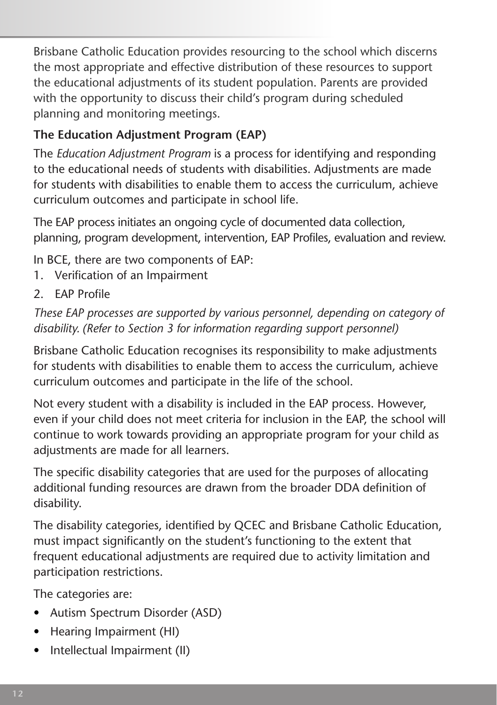Brisbane Catholic Education provides resourcing to the school which discerns the most appropriate and effective distribution of these resources to support the educational adjustments of its student population. Parents are provided with the opportunity to discuss their child's program during scheduled planning and monitoring meetings.

## **The Education Adjustment Program (EAP)**

The *Education Adjustment Program* is a process for identifying and responding to the educational needs of students with disabilities. Adjustments are made for students with disabilities to enable them to access the curriculum, achieve curriculum outcomes and participate in school life.

The EAP process initiates an ongoing cycle of documented data collection, planning, program development, intervention, EAP Profiles, evaluation and review.

In BCE, there are two components of EAP:

- 1. Verification of an Impairment
- 2. EAP Profile

*These EAP processes are supported by various personnel, depending on category of disability. (Refer to Section 3 for information regarding support personnel)*

Brisbane Catholic Education recognises its responsibility to make adjustments for students with disabilities to enable them to access the curriculum, achieve curriculum outcomes and participate in the life of the school.

Not every student with a disability is included in the EAP process. However, even if your child does not meet criteria for inclusion in the EAP, the school will continue to work towards providing an appropriate program for your child as adjustments are made for all learners.

The specific disability categories that are used for the purposes of allocating additional funding resources are drawn from the broader DDA definition of disability.

The disability categories, identified by QCEC and Brisbane Catholic Education, must impact significantly on the student's functioning to the extent that frequent educational adjustments are required due to activity limitation and participation restrictions.

The categories are:

- • Autism Spectrum Disorder (ASD)
- Hearing Impairment (HI)
- Intellectual Impairment (II)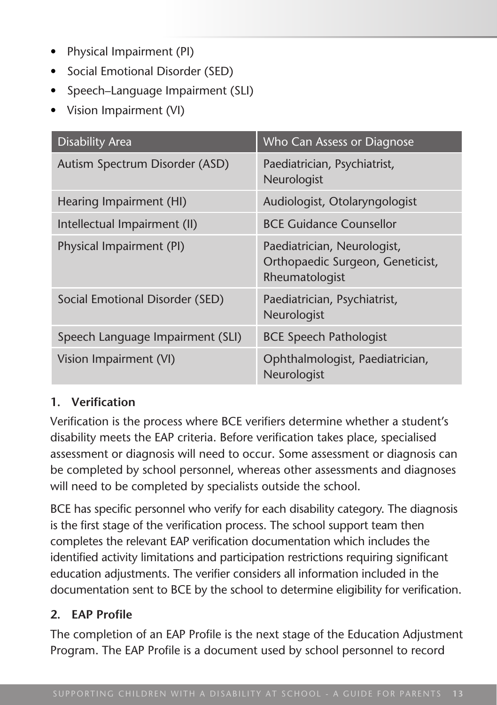- Physical Impairment (PI)
- Social Emotional Disorder (SED)
- Speech–Language Impairment (SLI)
- • Vision Impairment (VI)

| <b>Disability Area</b>           | Who Can Assess or Diagnose                                                        |
|----------------------------------|-----------------------------------------------------------------------------------|
| Autism Spectrum Disorder (ASD)   | Paediatrician, Psychiatrist,<br>Neurologist                                       |
| Hearing Impairment (HI)          | Audiologist, Otolaryngologist                                                     |
| Intellectual Impairment (II)     | <b>BCE Guidance Counsellor</b>                                                    |
| Physical Impairment (PI)         | Paediatrician, Neurologist,<br>Orthopaedic Surgeon, Geneticist,<br>Rheumatologist |
| Social Emotional Disorder (SED)  | Paediatrician, Psychiatrist,<br>Neurologist                                       |
| Speech Language Impairment (SLI) | <b>BCE Speech Pathologist</b>                                                     |
| Vision Impairment (VI)           | Ophthalmologist, Paediatrician,<br>Neurologist                                    |

#### **1. Verification**

Verification is the process where BCE verifiers determine whether a student's disability meets the EAP criteria. Before verification takes place, specialised assessment or diagnosis will need to occur. Some assessment or diagnosis can be completed by school personnel, whereas other assessments and diagnoses will need to be completed by specialists outside the school.

BCE has specific personnel who verify for each disability category. The diagnosis is the first stage of the verification process. The school support team then completes the relevant EAP verification documentation which includes the identified activity limitations and participation restrictions requiring significant education adjustments. The verifier considers all information included in the documentation sent to BCE by the school to determine eligibility for verification.

#### **2. EAP Profile**

The completion of an EAP Profile is the next stage of the Education Adjustment Program. The EAP Profile is a document used by school personnel to record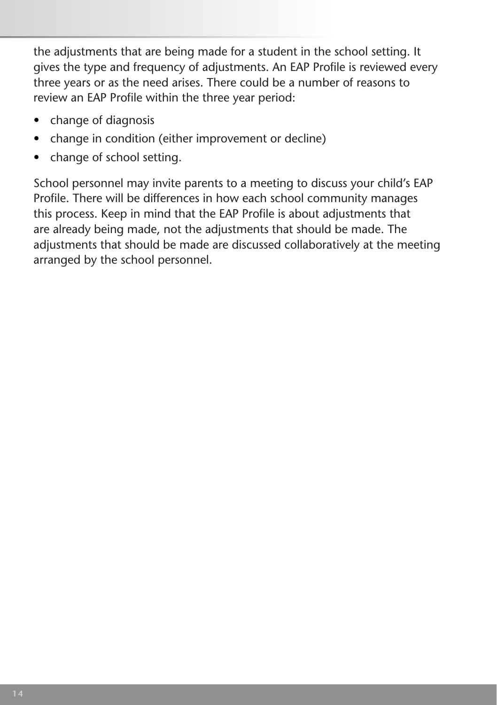the adjustments that are being made for a student in the school setting. It gives the type and frequency of adjustments. An EAP Profile is reviewed every three years or as the need arises. There could be a number of reasons to review an EAP Profile within the three year period:

- change of diagnosis
- change in condition (either improvement or decline)
- change of school setting.

School personnel may invite parents to a meeting to discuss your child's EAP Profile. There will be differences in how each school community manages this process. Keep in mind that the EAP Profile is about adjustments that are already being made, not the adjustments that should be made. The adjustments that should be made are discussed collaboratively at the meeting arranged by the school personnel.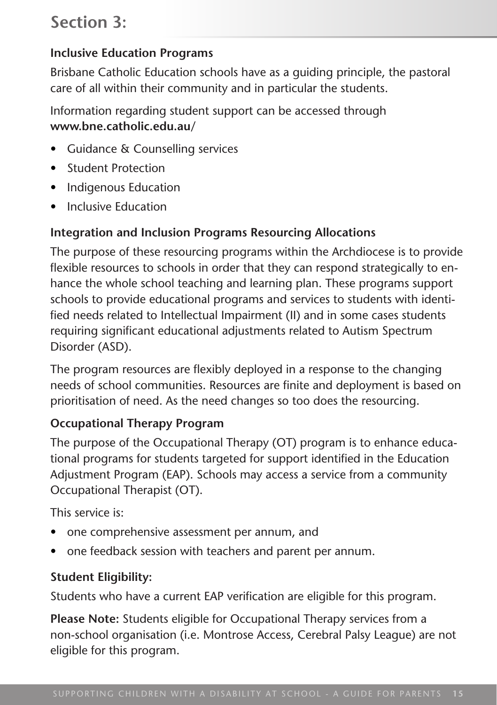## **Section 3:**

#### **Inclusive Education Programs**

Brisbane Catholic Education schools have as a guiding principle, the pastoral care of all within their community and in particular the students.

Information regarding student support can be accessed through **www.bne.catholic.edu.au/**

- • Guidance & Counselling services
- • Student Protection
- Indigenous Education
- • Inclusive Education

#### **Integration and Inclusion Programs Resourcing Allocations**

The purpose of these resourcing programs within the Archdiocese is to provide flexible resources to schools in order that they can respond strategically to enhance the whole school teaching and learning plan. These programs support schools to provide educational programs and services to students with identified needs related to Intellectual Impairment (II) and in some cases students requiring significant educational adjustments related to Autism Spectrum Disorder (ASD).

The program resources are flexibly deployed in a response to the changing needs of school communities. Resources are finite and deployment is based on prioritisation of need. As the need changes so too does the resourcing.

#### **Occupational Therapy Program**

The purpose of the Occupational Therapy (OT) program is to enhance educational programs for students targeted for support identified in the Education Adjustment Program (EAP). Schools may access a service from a community Occupational Therapist (OT).

This service is:

- one comprehensive assessment per annum, and
- one feedback session with teachers and parent per annum.

#### **Student Eligibility:**

Students who have a current EAP verification are eligible for this program.

**Please Note:** Students eligible for Occupational Therapy services from a non-school organisation (i.e. Montrose Access, Cerebral Palsy League) are not eligible for this program.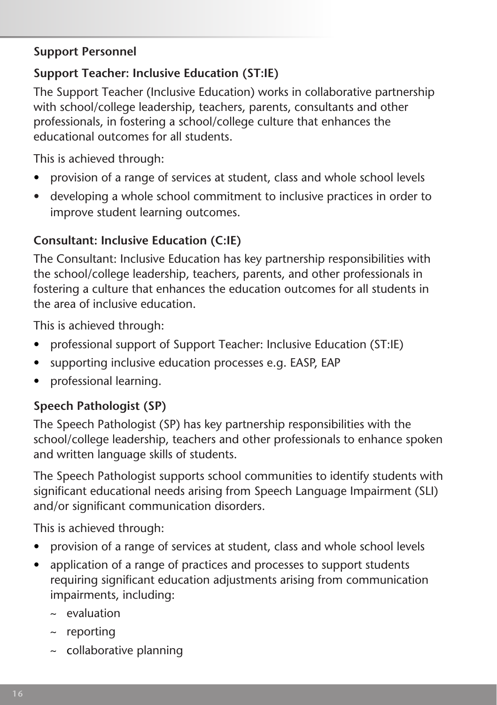#### **Support Personnel**

## **Support Teacher: Inclusive Education (ST:IE)**

The Support Teacher (Inclusive Education) works in collaborative partnership with school/college leadership, teachers, parents, consultants and other professionals, in fostering a school/college culture that enhances the educational outcomes for all students.

This is achieved through:

- provision of a range of services at student, class and whole school levels
- developing a whole school commitment to inclusive practices in order to improve student learning outcomes.

## **Consultant: Inclusive Education (C:IE)**

The Consultant: Inclusive Education has key partnership responsibilities with the school/college leadership, teachers, parents, and other professionals in fostering a culture that enhances the education outcomes for all students in the area of inclusive education.

This is achieved through:

- professional support of Support Teacher: Inclusive Education (ST:IE)
- supporting inclusive education processes e.g. EASP, EAP
- • professional learning.

## **Speech Pathologist (SP)**

The Speech Pathologist (SP) has key partnership responsibilities with the school/college leadership, teachers and other professionals to enhance spoken and written language skills of students.

The Speech Pathologist supports school communities to identify students with significant educational needs arising from Speech Language Impairment (SLI) and/or significant communication disorders.

This is achieved through:

- provision of a range of services at student, class and whole school levels
- application of a range of practices and processes to support students requiring significant education adjustments arising from communication impairments, including:
	- $\sim$  evaluation
	- $\sim$  reporting
	- ~ collaborative planning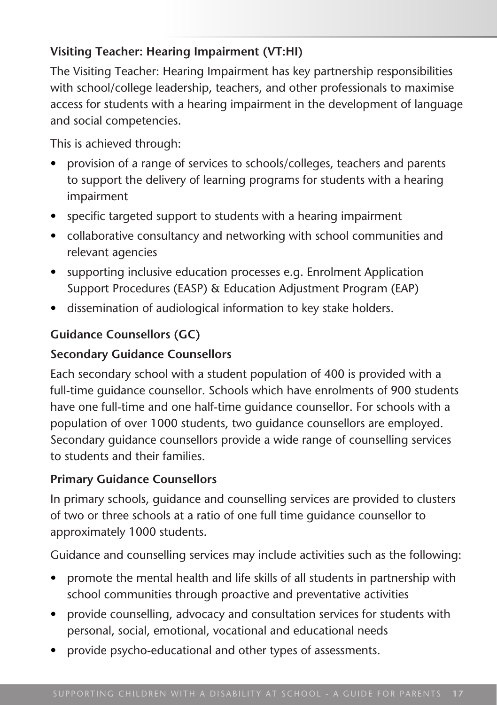## **Visiting Teacher: Hearing Impairment (VT:HI)**

The Visiting Teacher: Hearing Impairment has key partnership responsibilities with school/college leadership, teachers, and other professionals to maximise access for students with a hearing impairment in the development of language and social competencies.

This is achieved through:

- provision of a range of services to schools/colleges, teachers and parents to support the delivery of learning programs for students with a hearing impairment
- specific targeted support to students with a hearing impairment
- collaborative consultancy and networking with school communities and relevant agencies
- supporting inclusive education processes e.g. Enrolment Application Support Procedures (EASP) & Education Adjustment Program (EAP)
- dissemination of audiological information to key stake holders.

## **Guidance Counsellors (GC)**

#### **Secondary Guidance Counsellors**

Each secondary school with a student population of 400 is provided with a full-time guidance counsellor. Schools which have enrolments of 900 students have one full-time and one half-time guidance counsellor. For schools with a population of over 1000 students, two guidance counsellors are employed. Secondary guidance counsellors provide a wide range of counselling services to students and their families.

#### **Primary Guidance Counsellors**

In primary schools, guidance and counselling services are provided to clusters of two or three schools at a ratio of one full time guidance counsellor to approximately 1000 students.

Guidance and counselling services may include activities such as the following:

- promote the mental health and life skills of all students in partnership with school communities through proactive and preventative activities
- provide counselling, advocacy and consultation services for students with personal, social, emotional, vocational and educational needs
- provide psycho-educational and other types of assessments.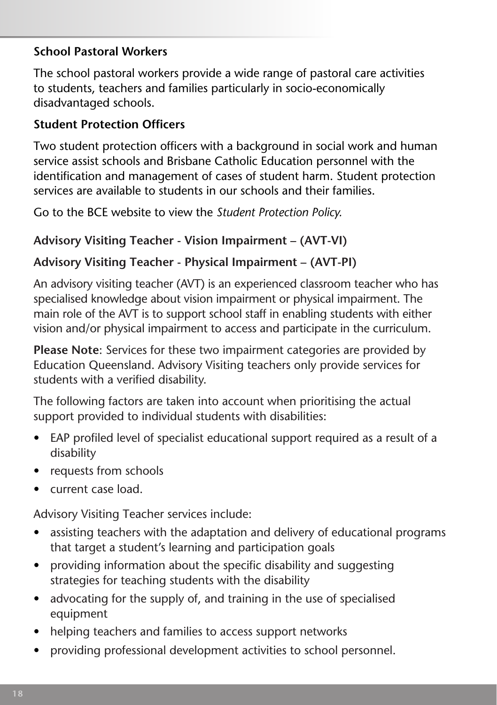#### **School Pastoral Workers**

The school pastoral workers provide a wide range of pastoral care activities to students, teachers and families particularly in socio-economically disadvantaged schools.

#### **Student Protection Officers**

Two student protection officers with a background in social work and human service assist schools and Brisbane Catholic Education personnel with the identification and management of cases of student harm. Student protection services are available to students in our schools and their families.

Go to the BCE website to view the *Student Protection Policy.* 

## **Advisory Visiting Teacher - Vision Impairment – (AVT-VI)**

## **Advisory Visiting Teacher - Physical Impairment – (AVT-PI)**

An advisory visiting teacher (AVT) is an experienced classroom teacher who has specialised knowledge about vision impairment or physical impairment. The main role of the AVT is to support school staff in enabling students with either vision and/or physical impairment to access and participate in the curriculum.

**Please Note**: Services for these two impairment categories are provided by Education Queensland. Advisory Visiting teachers only provide services for students with a verified disability.

The following factors are taken into account when prioritising the actual support provided to individual students with disabilities:

- EAP profiled level of specialist educational support required as a result of a disability
- requests from schools
- current case load.

Advisory Visiting Teacher services include:

- assisting teachers with the adaptation and delivery of educational programs that target a student's learning and participation goals
- providing information about the specific disability and suggesting strategies for teaching students with the disability
- advocating for the supply of, and training in the use of specialised equipment
- helping teachers and families to access support networks
- providing professional development activities to school personnel.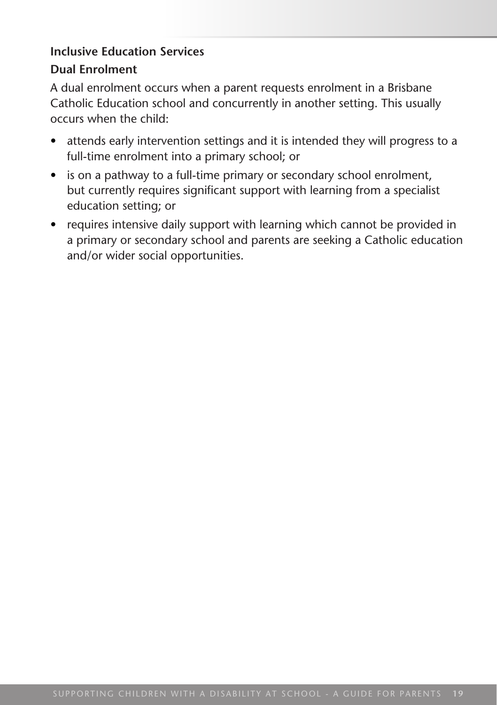# **Inclusive Education Services**

#### **Dual Enrolment**

A dual enrolment occurs when a parent requests enrolment in a Brisbane Catholic Education school and concurrently in another setting. This usually occurs when the child:

- attends early intervention settings and it is intended they will progress to a full-time enrolment into a primary school; or
- is on a pathway to a full-time primary or secondary school enrolment, but currently requires significant support with learning from a specialist education setting; or
- requires intensive daily support with learning which cannot be provided in a primary or secondary school and parents are seeking a Catholic education and/or wider social opportunities.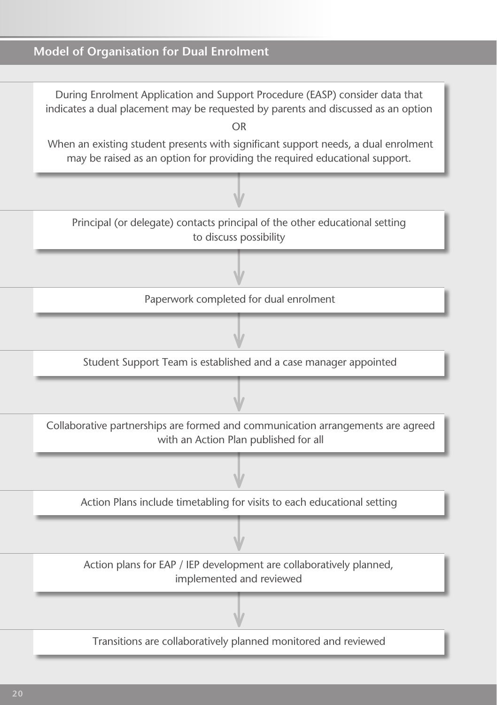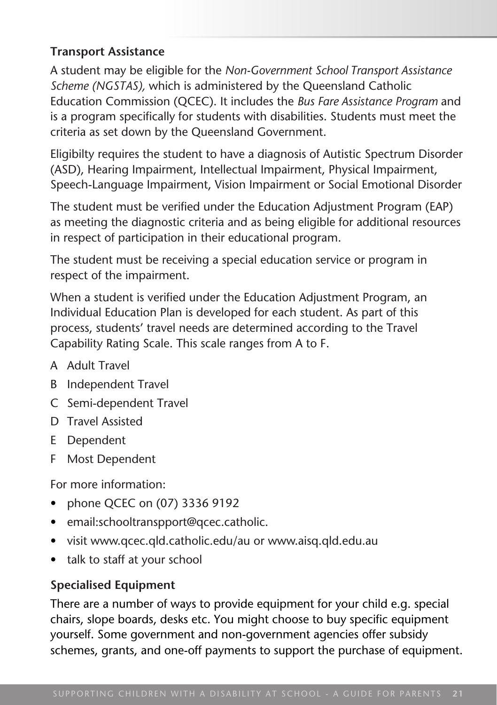#### **Transport Assistance**

A student may be eligible for the *Non-Government School Transport Assistance Scheme (NGSTAS),* which is administered by the Queensland Catholic Education Commission (QCEC). It includes the *Bus Fare Assistance Program* and is a program specifically for students with disabilities. Students must meet the criteria as set down by the Queensland Government.

Eligibilty requires the student to have a diagnosis of Autistic Spectrum Disorder (ASD), Hearing Impairment, Intellectual Impairment, Physical Impairment, Speech-Language Impairment, Vision Impairment or Social Emotional Disorder

The student must be verified under the Education Adjustment Program (EAP) as meeting the diagnostic criteria and as being eligible for additional resources in respect of participation in their educational program.

The student must be receiving a special education service or program in respect of the impairment.

When a student is verified under the Education Adjustment Program, an Individual Education Plan is developed for each student. As part of this process, students' travel needs are determined according to the Travel Capability Rating Scale. This scale ranges from A to F.

- A Adult Travel
- B Independent Travel
- C Semi-dependent Travel
- D Travel Assisted
- E Dependent
- F Most Dependent

For more information:

- phone QCEC on (07) 3336 9192
- email:schooltranspport@qcec.catholic.
- visit www.qcec.qld.catholic.edu/au or www.aisq.qld.edu.au
- talk to staff at your school

#### **Specialised Equipment**

There are a number of ways to provide equipment for your child e.g. special chairs, slope boards, desks etc. You might choose to buy specific equipment yourself. Some government and non-government agencies offer subsidy schemes, grants, and one-off payments to support the purchase of equipment.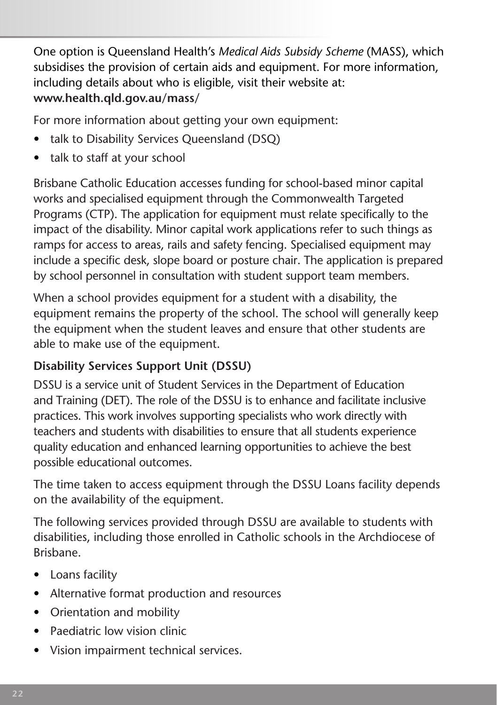One option is Queensland Health's *Medical Aids Subsidy Scheme* (MASS), which subsidises the provision of certain aids and equipment. For more information, including details about who is eligible, visit their website at: **www.health.qld.gov.au/mass/**

For more information about getting your own equipment:

- talk to Disability Services Queensland (DSQ)
- talk to staff at your school

Brisbane Catholic Education accesses funding for school-based minor capital works and specialised equipment through the Commonwealth Targeted Programs (CTP). The application for equipment must relate specifically to the impact of the disability. Minor capital work applications refer to such things as ramps for access to areas, rails and safety fencing. Specialised equipment may include a specific desk, slope board or posture chair. The application is prepared by school personnel in consultation with student support team members.

When a school provides equipment for a student with a disability, the equipment remains the property of the school. The school will generally keep the equipment when the student leaves and ensure that other students are able to make use of the equipment.

## **Disability Services Support Unit (DSSU)**

DSSU is a service unit of Student Services in the Department of Education and Training (DET). The role of the DSSU is to enhance and facilitate inclusive practices. This work involves supporting specialists who work directly with teachers and students with disabilities to ensure that all students experience quality education and enhanced learning opportunities to achieve the best possible educational outcomes.

The time taken to access equipment through the DSSU Loans facility depends on the availability of the equipment.

The following services provided through DSSU are available to students with disabilities, including those enrolled in Catholic schools in the Archdiocese of Brisbane.

- Loans facility
- • Alternative format production and resources
- Orientation and mobility
- Paediatric low vision clinic
- • Vision impairment technical services.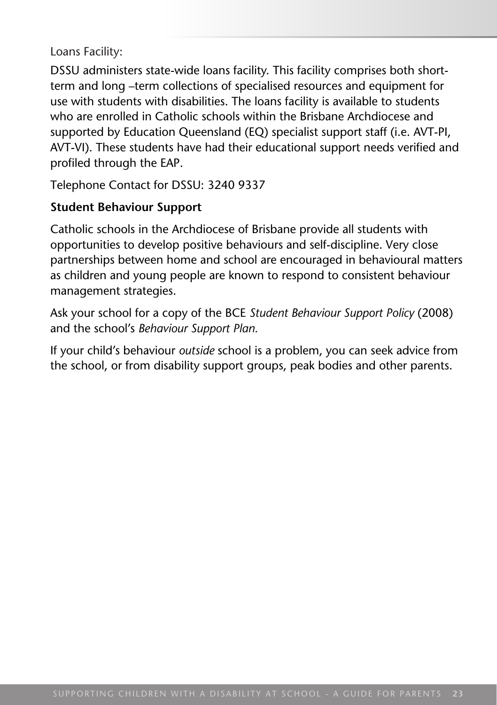Loans Facility:

DSSU administers state-wide loans facility. This facility comprises both shortterm and long –term collections of specialised resources and equipment for use with students with disabilities. The loans facility is available to students who are enrolled in Catholic schools within the Brisbane Archdiocese and supported by Education Queensland (EQ) specialist support staff (i.e. AVT-PI, AVT-VI). These students have had their educational support needs verified and profiled through the EAP.

Telephone Contact for DSSU: 3240 9337

#### **Student Behaviour Support**

Catholic schools in the Archdiocese of Brisbane provide all students with opportunities to develop positive behaviours and self-discipline. Very close partnerships between home and school are encouraged in behavioural matters as children and young people are known to respond to consistent behaviour management strategies.

Ask your school for a copy of the BCE *Student Behaviour Support Policy* (2008) and the school's *Behaviour Support Plan.* 

If your child's behaviour *outside* school is a problem, you can seek advice from the school, or from disability support groups, peak bodies and other parents.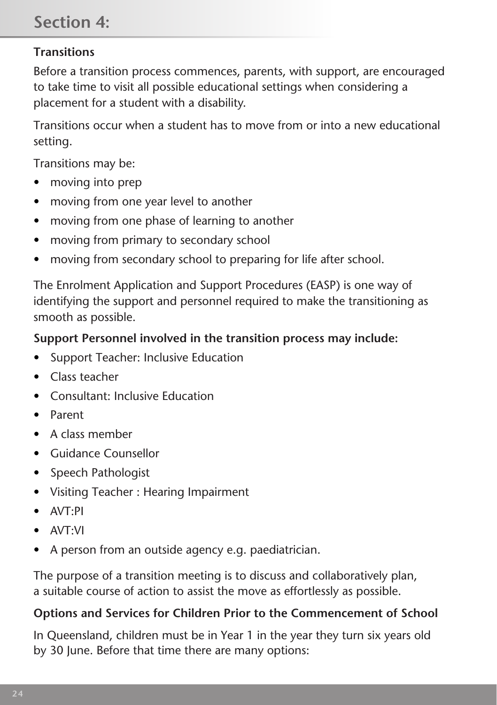## **Transitions**

Before a transition process commences, parents, with support, are encouraged to take time to visit all possible educational settings when considering a placement for a student with a disability.

Transitions occur when a student has to move from or into a new educational setting.

Transitions may be:

- moving into prep
- moving from one year level to another
- moving from one phase of learning to another
- moving from primary to secondary school
- moving from secondary school to preparing for life after school.

The Enrolment Application and Support Procedures (EASP) is one way of identifying the support and personnel required to make the transitioning as smooth as possible.

#### **Support Personnel involved in the transition process may include:**

- Support Teacher: Inclusive Education
- • Class teacher
- Consultant: Inclusive Education
- • Parent
- • A class member
- • Guidance Counsellor
- Speech Pathologist
- • Visiting Teacher : Hearing Impairment
- • AVT:PI
- $\triangle V T \cdot V I$
- A person from an outside agency e.g. paediatrician.

The purpose of a transition meeting is to discuss and collaboratively plan, a suitable course of action to assist the move as effortlessly as possible.

#### **Options and Services for Children Prior to the Commencement of School**

In Queensland, children must be in Year 1 in the year they turn six years old by 30 June. Before that time there are many options: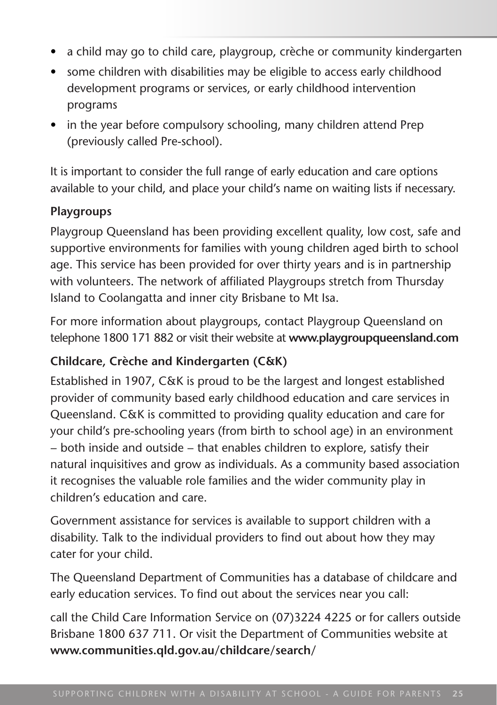- a child may go to child care, playgroup, crèche or community kindergarten
- some children with disabilities may be eligible to access early childhood development programs or services, or early childhood intervention programs
- in the year before compulsory schooling, many children attend Prep (previously called Pre-school).

It is important to consider the full range of early education and care options available to your child, and place your child's name on waiting lists if necessary.

#### **Playgroups**

Playgroup Queensland has been providing excellent quality, low cost, safe and supportive environments for families with young children aged birth to school age. This service has been provided for over thirty years and is in partnership with volunteers. The network of affiliated Playgroups stretch from Thursday Island to Coolangatta and inner city Brisbane to Mt Isa.

For more information about playgroups, contact Playgroup Queensland on telephone 1800 171 882 or visit their website at **www.playgroupqueensland.com**

#### **Childcare, Crèche and Kindergarten (C&K)**

Established in 1907, C&K is proud to be the largest and longest established provider of community based early childhood education and care services in Queensland. C&K is committed to providing quality education and care for your child's pre-schooling years (from birth to school age) in an environment − both inside and outside − that enables children to explore, satisfy their natural inquisitives and grow as individuals. As a community based association it recognises the valuable role families and the wider community play in children's education and care.

Government assistance for services is available to support children with a disability. Talk to the individual providers to find out about how they may cater for your child.

The Queensland Department of Communities has a database of childcare and early education services. To find out about the services near you call:

call the Child Care Information Service on (07)3224 4225 or for callers outside Brisbane 1800 637 711. Or visit the Department of Communities website at **www.communities.qld.gov.au/childcare/search/**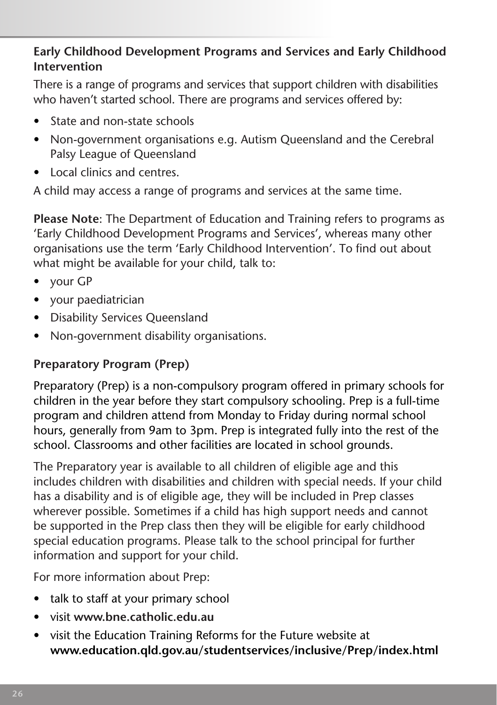#### **Early Childhood Development Programs and Services and Early Childhood Intervention**

There is a range of programs and services that support children with disabilities who haven't started school. There are programs and services offered by:

- State and non-state schools
- Non-government organisations e.g. Autism Queensland and the Cerebral Palsy League of Queensland
- Local clinics and centres.

A child may access a range of programs and services at the same time.

**Please Note**: The Department of Education and Training refers to programs as 'Early Childhood Development Programs and Services', whereas many other organisations use the term 'Early Childhood Intervention'. To find out about what might be available for your child, talk to:

- your GP
- • your paediatrician
- Disability Services Queensland
- Non-government disability organisations.

## **Preparatory Program (Prep)**

Preparatory (Prep) is a non-compulsory program offered in primary schools for children in the year before they start compulsory schooling. Prep is a full-time program and children attend from Monday to Friday during normal school hours, generally from 9am to 3pm. Prep is integrated fully into the rest of the school. Classrooms and other facilities are located in school grounds.

The Preparatory year is available to all children of eligible age and this includes children with disabilities and children with special needs. If your child has a disability and is of eligible age, they will be included in Prep classes wherever possible. Sometimes if a child has high support needs and cannot be supported in the Prep class then they will be eligible for early childhood special education programs. Please talk to the school principal for further information and support for your child.

For more information about Prep:

- talk to staff at your primary school
- • visit **www.bne.catholic.edu.au**
- visit the Education Training Reforms for the Future website at **www.education.qld.gov.au/studentservices/inclusive/Prep/index.html**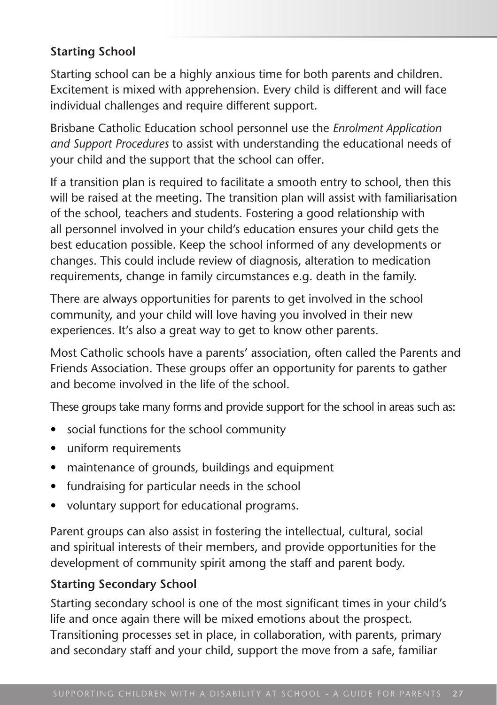#### **Starting School**

Starting school can be a highly anxious time for both parents and children. Excitement is mixed with apprehension. Every child is different and will face individual challenges and require different support.

Brisbane Catholic Education school personnel use the *Enrolment Application and Support Procedures* to assist with understanding the educational needs of your child and the support that the school can offer.

If a transition plan is required to facilitate a smooth entry to school, then this will be raised at the meeting. The transition plan will assist with familiarisation of the school, teachers and students. Fostering a good relationship with all personnel involved in your child's education ensures your child gets the best education possible. Keep the school informed of any developments or changes. This could include review of diagnosis, alteration to medication requirements, change in family circumstances e.g. death in the family.

There are always opportunities for parents to get involved in the school community, and your child will love having you involved in their new experiences. It's also a great way to get to know other parents.

Most Catholic schools have a parents' association, often called the Parents and Friends Association. These groups offer an opportunity for parents to gather and become involved in the life of the school.

These groups take many forms and provide support for the school in areas such as:

- social functions for the school community
- • uniform requirements
- maintenance of grounds, buildings and equipment
- fundraising for particular needs in the school
- voluntary support for educational programs.

Parent groups can also assist in fostering the intellectual, cultural, social and spiritual interests of their members, and provide opportunities for the development of community spirit among the staff and parent body.

#### **Starting Secondary School**

Starting secondary school is one of the most significant times in your child's life and once again there will be mixed emotions about the prospect. Transitioning processes set in place, in collaboration, with parents, primary and secondary staff and your child, support the move from a safe, familiar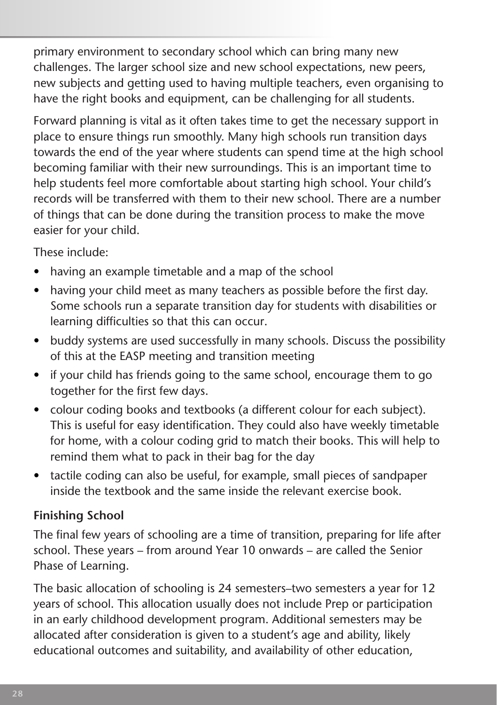primary environment to secondary school which can bring many new challenges. The larger school size and new school expectations, new peers, new subjects and getting used to having multiple teachers, even organising to have the right books and equipment, can be challenging for all students.

Forward planning is vital as it often takes time to get the necessary support in place to ensure things run smoothly. Many high schools run transition days towards the end of the year where students can spend time at the high school becoming familiar with their new surroundings. This is an important time to help students feel more comfortable about starting high school. Your child's records will be transferred with them to their new school. There are a number of things that can be done during the transition process to make the move easier for your child.

These include:

- having an example timetable and a map of the school
- having your child meet as many teachers as possible before the first day. Some schools run a separate transition day for students with disabilities or learning difficulties so that this can occur.
- buddy systems are used successfully in many schools. Discuss the possibility of this at the EASP meeting and transition meeting
- if your child has friends going to the same school, encourage them to go together for the first few days.
- colour coding books and textbooks (a different colour for each subject). This is useful for easy identification. They could also have weekly timetable for home, with a colour coding grid to match their books. This will help to remind them what to pack in their bag for the day
- tactile coding can also be useful, for example, small pieces of sandpaper inside the textbook and the same inside the relevant exercise book.

## **Finishing School**

The final few years of schooling are a time of transition, preparing for life after school. These years – from around Year 10 onwards – are called the Senior Phase of Learning.

The basic allocation of schooling is 24 semesters–two semesters a year for 12 years of school. This allocation usually does not include Prep or participation in an early childhood development program. Additional semesters may be allocated after consideration is given to a student's age and ability, likely educational outcomes and suitability, and availability of other education,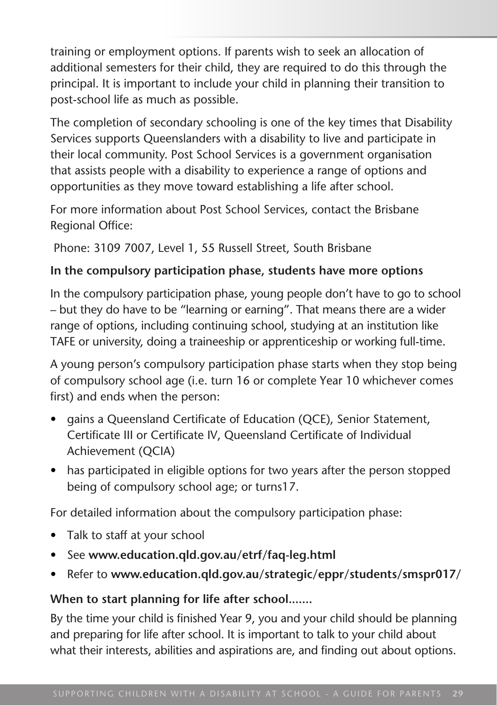training or employment options. If parents wish to seek an allocation of additional semesters for their child, they are required to do this through the principal. It is important to include your child in planning their transition to post-school life as much as possible.

The completion of secondary schooling is one of the key times that Disability Services supports Queenslanders with a disability to live and participate in their local community. Post School Services is a government organisation that assists people with a disability to experience a range of options and opportunities as they move toward establishing a life after school.

For more information about Post School Services, contact the Brisbane Regional Office:

Phone: 3109 7007, Level 1, 55 Russell Street, South Brisbane

#### **In the compulsory participation phase, students have more options**

In the compulsory participation phase, young people don't have to go to school – but they do have to be "learning or earning". That means there are a wider range of options, including continuing school, studying at an institution like TAFE or university, doing a traineeship or apprenticeship or working full-time.

A young person's compulsory participation phase starts when they stop being of compulsory school age (i.e. turn 16 or complete Year 10 whichever comes first) and ends when the person:

- gains a Queensland Certificate of Education (QCE), Senior Statement, Certificate III or Certificate IV, Queensland Certificate of Individual Achievement (QCIA)
- has participated in eligible options for two years after the person stopped being of compulsory school age; or turns17.

For detailed information about the compulsory participation phase:

- Talk to staff at your school
- • See **www.education.qld.gov.au/etrf/faq-leg.html**
- Refer to www.education.qld.gov.au/strategic/eppr/students/smspr017/

## **When to start planning for life after school.......**

By the time your child is finished Year 9, you and your child should be planning and preparing for life after school. It is important to talk to your child about what their interests, abilities and aspirations are, and finding out about options.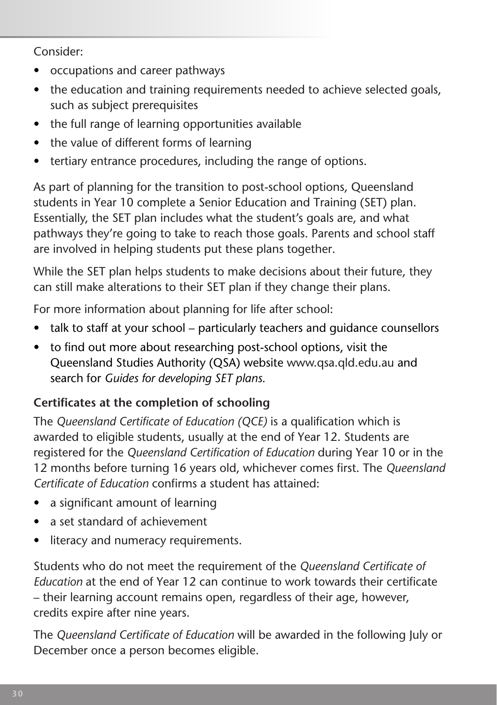Consider:

- • occupations and career pathways
- the education and training requirements needed to achieve selected goals, such as subject prerequisites
- the full range of learning opportunities available
- the value of different forms of learning
- tertiary entrance procedures, including the range of options.

As part of planning for the transition to post-school options, Queensland students in Year 10 complete a Senior Education and Training (SET) plan. Essentially, the SET plan includes what the student's goals are, and what pathways they're going to take to reach those goals. Parents and school staff are involved in helping students put these plans together.

While the SET plan helps students to make decisions about their future, they can still make alterations to their SET plan if they change their plans.

For more information about planning for life after school:

- talk to staff at your school particularly teachers and quidance counsellors
- to find out more about researching post-school options, visit the Queensland Studies Authority (QSA) website www.qsa.qld.edu.au and search for *Guides for developing SET plans.*

## **Certificates at the completion of schooling**

The *Queensland Certificate of Education (QCE)* is a qualification which is awarded to eligible students, usually at the end of Year 12. Students are registered for the *Queensland Certification of Education* during Year 10 or in the 12 months before turning 16 years old, whichever comes first. The *Queensland Certificate of Education* confirms a student has attained:

- a significant amount of learning
- a set standard of achievement
- literacy and numeracy requirements.

Students who do not meet the requirement of the *Queensland Certificate of Education* at the end of Year 12 can continue to work towards their certificate – their learning account remains open, regardless of their age, however, credits expire after nine years.

The *Queensland Certificate of Education* will be awarded in the following July or December once a person becomes eligible.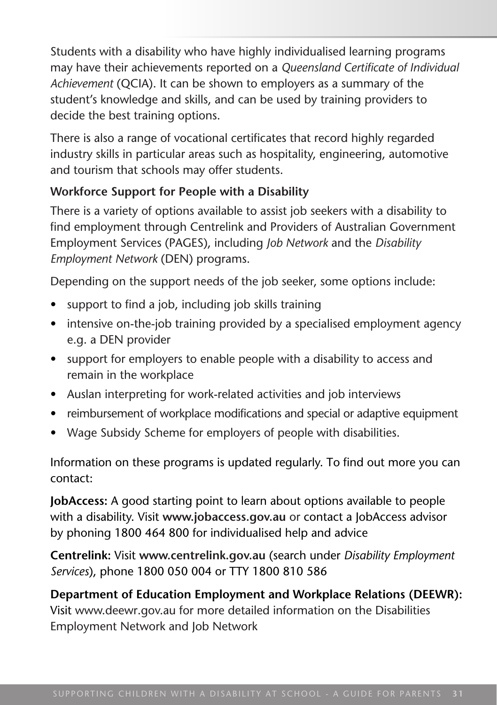Students with a disability who have highly individualised learning programs may have their achievements reported on a *Queensland Certificate of Individual Achievement* (QCIA). It can be shown to employers as a summary of the student's knowledge and skills, and can be used by training providers to decide the best training options.

There is also a range of vocational certificates that record highly regarded industry skills in particular areas such as hospitality, engineering, automotive and tourism that schools may offer students.

#### **Workforce Support for People with a Disability**

There is a variety of options available to assist job seekers with a disability to find employment through Centrelink and Providers of Australian Government Employment Services (PAGES), including *Job Network* and the *Disability Employment Network* (DEN) programs.

Depending on the support needs of the job seeker, some options include:

- support to find a job, including job skills training
- intensive on-the-job training provided by a specialised employment agency e.g. a DEN provider
- support for employers to enable people with a disability to access and remain in the workplace
- Auslan interpreting for work-related activities and job interviews
- reimbursement of workplace modifications and special or adaptive equipment
- Wage Subsidy Scheme for employers of people with disabilities.

Information on these programs is updated regularly. To find out more you can contact:

**JobAccess:** A good starting point to learn about options available to people with a disability. Visit **www.jobaccess.gov.au** or contact a JobAccess advisor by phoning 1800 464 800 for individualised help and advice

**Centrelink:** Visit **www.centrelink.gov.au** (search under *Disability Employment Services*), phone 1800 050 004 or TTY 1800 810 586

**Department of Education Employment and Workplace Relations (DEEWR):**  Visit www.deewr.gov.au for more detailed information on the Disabilities Employment Network and Job Network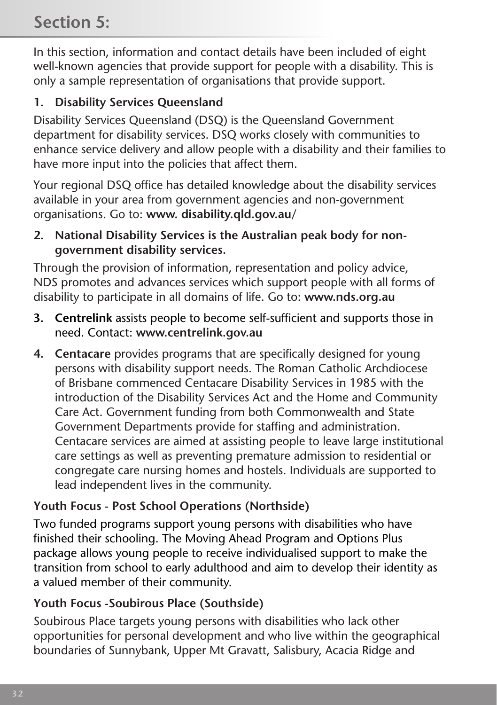## **Section 5:**

In this section, information and contact details have been included of eight well-known agencies that provide support for people with a disability. This is only a sample representation of organisations that provide support.

## **1. Disability Services Queensland**

Disability Services Queensland (DSQ) is the Queensland Government department for disability services. DSQ works closely with communities to enhance service delivery and allow people with a disability and their families to have more input into the policies that affect them.

Your regional DSQ office has detailed knowledge about the disability services available in your area from government agencies and non-government organisations. Go to: **www. disability.qld.gov.au/**

**2. National Disability Services is the Australian peak body for nongovernment disability services.**

Through the provision of information, representation and policy advice, NDS promotes and advances services which support people with all forms of disability to participate in all domains of life. Go to: **www.nds.org.au**

- **3. Centrelink** assists people to become self-sufficient and supports those in need. Contact: **www.centrelink.gov.au**
- **4. Centacare** provides programs that are specifically designed for young persons with disability support needs. The Roman Catholic Archdiocese of Brisbane commenced Centacare Disability Services in 1985 with the introduction of the Disability Services Act and the Home and Community Care Act. Government funding from both Commonwealth and State Government Departments provide for staffing and administration. Centacare services are aimed at assisting people to leave large institutional care settings as well as preventing premature admission to residential or congregate care nursing homes and hostels. Individuals are supported to lead independent lives in the community.

## **Youth Focus - Post School Operations (Northside)**

Two funded programs support young persons with disabilities who have finished their schooling. The Moving Ahead Program and Options Plus package allows young people to receive individualised support to make the transition from school to early adulthood and aim to develop their identity as a valued member of their community.

## **Youth Focus -Soubirous Place (Southside)**

Soubirous Place targets young persons with disabilities who lack other opportunities for personal development and who live within the geographical boundaries of Sunnybank, Upper Mt Gravatt, Salisbury, Acacia Ridge and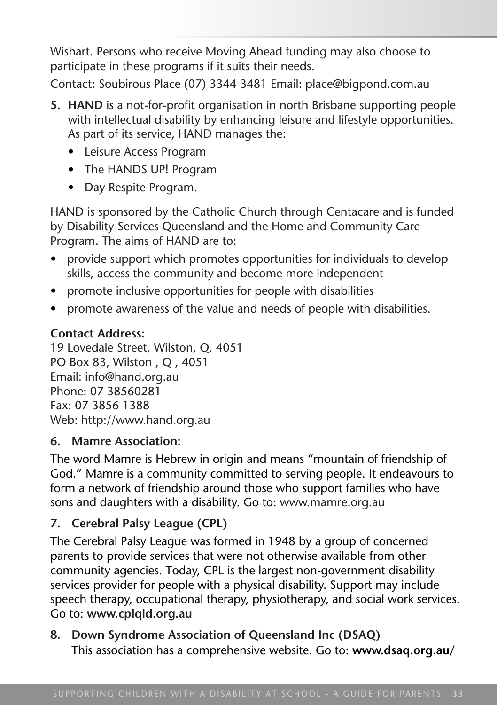Wishart. Persons who receive Moving Ahead funding may also choose to participate in these programs if it suits their needs.

Contact: Soubirous Place (07) 3344 3481 Email: place@bigpond.com.au

- **5. HAND** is a not-for-profit organisation in north Brisbane supporting people with intellectual disability by enhancing leisure and lifestyle opportunities. As part of its service, HAND manages the:
	- • Leisure Access Program
	- The HANDS UP! Program
	- Day Respite Program.

HAND is sponsored by the Catholic Church through Centacare and is funded by Disability Services Queensland and the Home and Community Care Program. The aims of HAND are to:

- provide support which promotes opportunities for individuals to develop skills, access the community and become more independent
- promote inclusive opportunities for people with disabilities
- promote awareness of the value and needs of people with disabilities.

## **Contact Address:**

19 Lovedale Street, Wilston, Q, 4051 PO Box 83, Wilston , Q , 4051 Email: info@hand.org.au Phone: 07 38560281 Fax: 07 3856 1388 Web: http://www.hand.org.au

## **6. Mamre Association:**

The word Mamre is Hebrew in origin and means "mountain of friendship of God." Mamre is a community committed to serving people. It endeavours to form a network of friendship around those who support families who have sons and daughters with a disability. Go to: www.mamre.org.au

## **7. Cerebral Palsy League (CPL)**

The Cerebral Palsy League was formed in 1948 by a group of concerned parents to provide services that were not otherwise available from other community agencies. Today, CPL is the largest non-government disability services provider for people with a physical disability. Support may include speech therapy, occupational therapy, physiotherapy, and social work services. Go to: **www.cplqld.org.au**

#### **8. Down Syndrome Association of Queensland Inc (DSAQ)** This association has a comprehensive website. Go to: **www.dsaq.org.au/**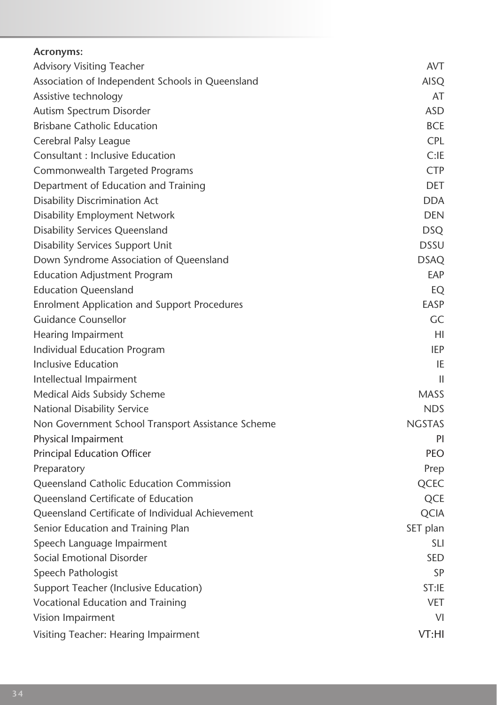| Acronyms:                                           |               |
|-----------------------------------------------------|---------------|
| Advisory Visiting Teacher                           | <b>AVT</b>    |
| Association of Independent Schools in Queensland    | AISO          |
| Assistive technology                                | AT            |
| Autism Spectrum Disorder                            | ASD           |
| <b>Brisbane Catholic Education</b>                  | <b>BCE</b>    |
| Cerebral Palsy League                               | <b>CPL</b>    |
| Consultant : Inclusive Education                    | C:IF          |
| Commonwealth Targeted Programs                      | <b>CTP</b>    |
| Department of Education and Training                | <b>DET</b>    |
| Disability Discrimination Act                       | <b>DDA</b>    |
| Disability Employment Network                       | <b>DEN</b>    |
| <b>Disability Services Queensland</b>               | <b>DSQ</b>    |
| Disability Services Support Unit                    | <b>DSSU</b>   |
| Down Syndrome Association of Queensland             | <b>DSAQ</b>   |
| <b>Education Adjustment Program</b>                 | EAP           |
| <b>Education Queensland</b>                         | EQ            |
| <b>Enrolment Application and Support Procedures</b> | EASP          |
| Guidance Counsellor                                 | GC            |
| Hearing Impairment                                  | HI            |
| Individual Education Program                        | IEP           |
| Inclusive Education                                 | IE            |
| Intellectual Impairment                             | $\mathbf{H}$  |
| Medical Aids Subsidy Scheme                         | <b>MASS</b>   |
| National Disability Service                         | <b>NDS</b>    |
| Non Government School Transport Assistance Scheme   | <b>NGSTAS</b> |
| Physical Impairment                                 | PI            |
| <b>Principal Education Officer</b>                  | PEO           |
| Preparatory                                         | Prep          |
| Queensland Catholic Education Commission            | QCEC          |
| Queensland Certificate of Education                 | QCE           |
| Queensland Certificate of Individual Achievement    | <b>QCIA</b>   |
| Senior Education and Training Plan                  | SET plan      |
| Speech Language Impairment                          | SLI           |
| Social Emotional Disorder                           | <b>SED</b>    |
| Speech Pathologist                                  | SP            |
| Support Teacher (Inclusive Education)               | ST:IE         |
| Vocational Education and Training                   | <b>VET</b>    |
| Vision Impairment                                   | VI            |
| Visiting Teacher: Hearing Impairment                | VT:HI         |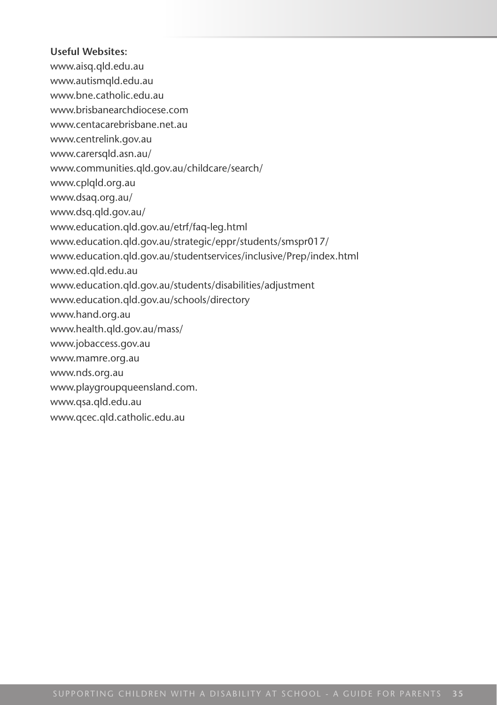#### **Useful Websites:**

- www.aisq.qld.edu.au
- www.autismqld.edu.au
- www.bne.catholic.edu.au
- www.brisbanearchdiocese.com
- www.centacarebrisbane.net.au
- www.centrelink.gov.au
- www.carersqld.asn.au/
- www.communities.qld.gov.au/childcare/search/
- www.cplqld.org.au
- www.dsaq.org.au/
- www.dsq.qld.gov.au/
- www.education.qld.gov.au/etrf/faq-leg.html
- www.education.qld.gov.au/strategic/eppr/students/smspr017/
- www.education.qld.gov.au/studentservices/inclusive/Prep/index.html
- www.ed.qld.edu.au
- www.education.qld.gov.au/students/disabilities/adjustment
- www.education.qld.gov.au/schools/directory
- www.hand.org.au
- www.health.qld.gov.au/mass/
- www.jobaccess.gov.au
- www.mamre.org.au
- www.nds.org.au
- www.playgroupqueensland.com.
- www.qsa.qld.edu.au
- www.qcec.qld.catholic.edu.au